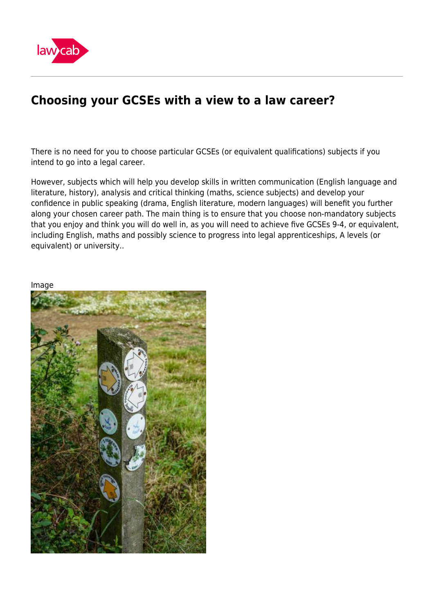

## **Choosing your GCSEs with a view to a law career?**

There is no need for you to choose particular GCSEs (or equivalent qualifications) subjects if you intend to go into a legal career.

However, subjects which will help you develop skills in written communication (English language and literature, history), analysis and critical thinking (maths, science subjects) and develop your confidence in public speaking (drama, English literature, modern languages) will benefit you further along your chosen career path. The main thing is to ensure that you choose non-mandatory subjects that you enjoy and think you will do well in, as you will need to achieve five GCSEs 9-4, or equivalent, including English, maths and possibly science to progress into legal apprenticeships, A levels (or equivalent) or university..

Image